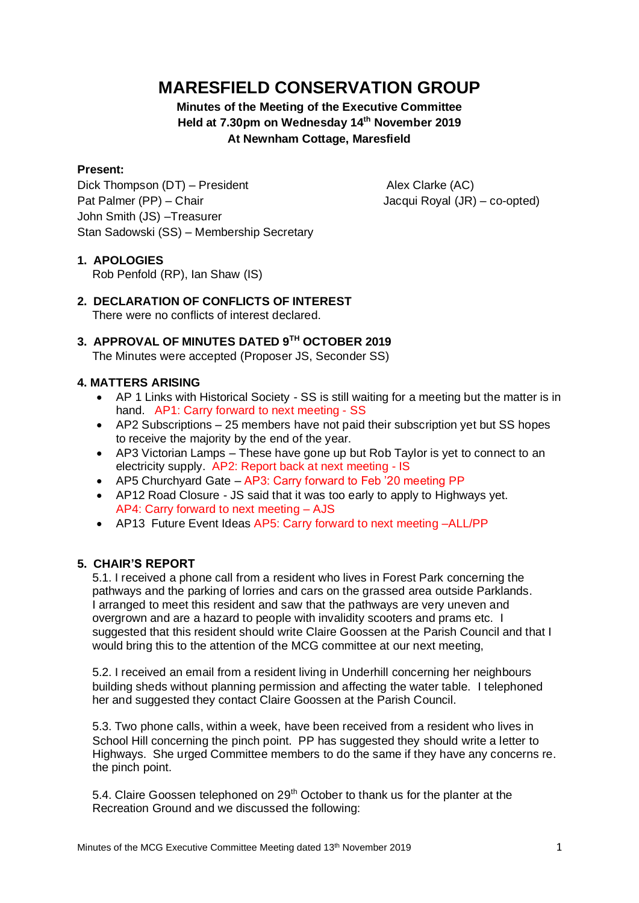# **MARESFIELD CONSERVATION GROUP**

## **Minutes of the Meeting of the Executive Committee Held at 7.30pm on Wednesday 14 th November 2019 At Newnham Cottage, Maresfield**

#### **Present:**

Dick Thompson (DT) – President Alex Clarke (AC) Pat Palmer (PP) – Chair **Jacqui Royal (JR) – co-opted**) John Smith (JS) –Treasurer Stan Sadowski (SS) – Membership Secretary

#### **1. APOLOGIES**

Rob Penfold (RP), Ian Shaw (IS)

**2. DECLARATION OF CONFLICTS OF INTEREST** There were no conflicts of interest declared.

# **3. APPROVAL OF MINUTES DATED 9TH OCTOBER 2019**

The Minutes were accepted (Proposer JS, Seconder SS)

#### **4. MATTERS ARISING**

- AP 1 Links with Historical Society SS is still waiting for a meeting but the matter is in hand. AP1: Carry forward to next meeting - SS
- AP2 Subscriptions 25 members have not paid their subscription yet but SS hopes to receive the majority by the end of the year.
- AP3 Victorian Lamps These have gone up but Rob Taylor is yet to connect to an electricity supply. AP2: Report back at next meeting - IS
- AP5 Churchyard Gate AP3: Carry forward to Feb '20 meeting PP
- AP12 Road Closure JS said that it was too early to apply to Highways yet. AP4: Carry forward to next meeting – AJS
- AP13 Future Event Ideas AP5: Carry forward to next meeting -ALL/PP

### **5. CHAIR'S REPORT**

5.1. I received a phone call from a resident who lives in Forest Park concerning the pathways and the parking of lorries and cars on the grassed area outside Parklands. I arranged to meet this resident and saw that the pathways are very uneven and overgrown and are a hazard to people with invalidity scooters and prams etc. I suggested that this resident should write Claire Goossen at the Parish Council and that I would bring this to the attention of the MCG committee at our next meeting,

5.2. I received an email from a resident living in Underhill concerning her neighbours building sheds without planning permission and affecting the water table. I telephoned her and suggested they contact Claire Goossen at the Parish Council.

5.3. Two phone calls, within a week, have been received from a resident who lives in School Hill concerning the pinch point. PP has suggested they should write a letter to Highways. She urged Committee members to do the same if they have any concerns re. the pinch point.

5.4. Claire Goossen telephoned on 29<sup>th</sup> October to thank us for the planter at the Recreation Ground and we discussed the following: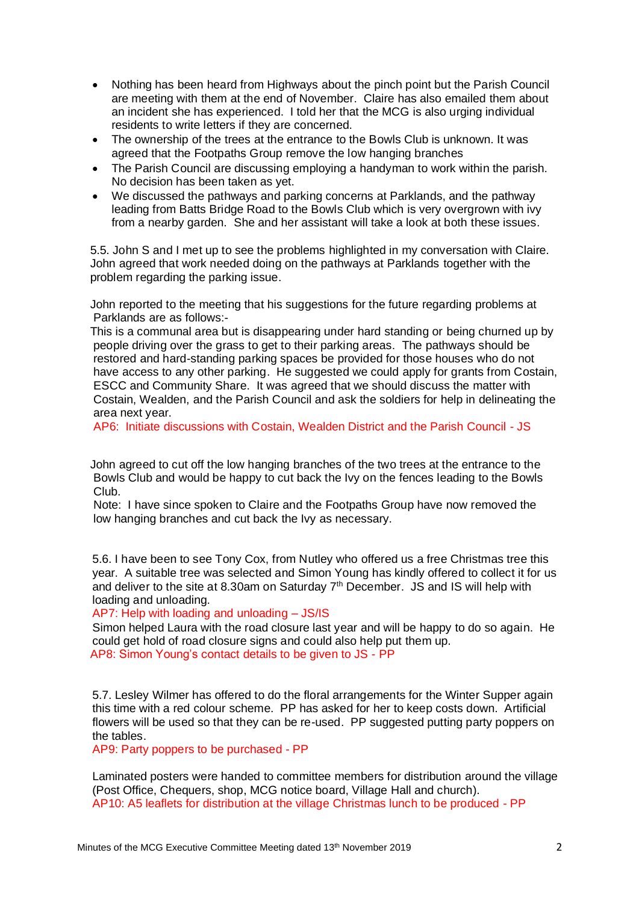- Nothing has been heard from Highways about the pinch point but the Parish Council are meeting with them at the end of November. Claire has also emailed them about an incident she has experienced. I told her that the MCG is also urging individual residents to write letters if they are concerned.
- The ownership of the trees at the entrance to the Bowls Club is unknown. It was agreed that the Footpaths Group remove the low hanging branches
- The Parish Council are discussing employing a handyman to work within the parish. No decision has been taken as yet.
- We discussed the pathways and parking concerns at Parklands, and the pathway leading from Batts Bridge Road to the Bowls Club which is very overgrown with ivy from a nearby garden. She and her assistant will take a look at both these issues.

 5.5. John S and I met up to see the problems highlighted in my conversation with Claire. John agreed that work needed doing on the pathways at Parklands together with the problem regarding the parking issue.

 John reported to the meeting that his suggestions for the future regarding problems at Parklands are as follows:-

 This is a communal area but is disappearing under hard standing or being churned up by people driving over the grass to get to their parking areas. The pathways should be restored and hard-standing parking spaces be provided for those houses who do not have access to any other parking. He suggested we could apply for grants from Costain, ESCC and Community Share. It was agreed that we should discuss the matter with Costain, Wealden, and the Parish Council and ask the soldiers for help in delineating the area next year.

AP6: Initiate discussions with Costain, Wealden District and the Parish Council - JS

 John agreed to cut off the low hanging branches of the two trees at the entrance to the Bowls Club and would be happy to cut back the Ivy on the fences leading to the Bowls Club.

 Note: I have since spoken to Claire and the Footpaths Group have now removed the low hanging branches and cut back the Ivy as necessary.

5.6. I have been to see Tony Cox, from Nutley who offered us a free Christmas tree this year. A suitable tree was selected and Simon Young has kindly offered to collect it for us and deliver to the site at 8.30am on Saturday 7<sup>th</sup> December. JS and IS will help with loading and unloading.

AP7: Help with loading and unloading – JS/IS

Simon helped Laura with the road closure last year and will be happy to do so again. He could get hold of road closure signs and could also help put them up. AP8: Simon Young's contact details to be given to JS - PP

5.7. Lesley Wilmer has offered to do the floral arrangements for the Winter Supper again this time with a red colour scheme. PP has asked for her to keep costs down. Artificial flowers will be used so that they can be re-used. PP suggested putting party poppers on the tables.

AP9: Party poppers to be purchased - PP

Laminated posters were handed to committee members for distribution around the village (Post Office, Chequers, shop, MCG notice board, Village Hall and church). AP10: A5 leaflets for distribution at the village Christmas lunch to be produced - PP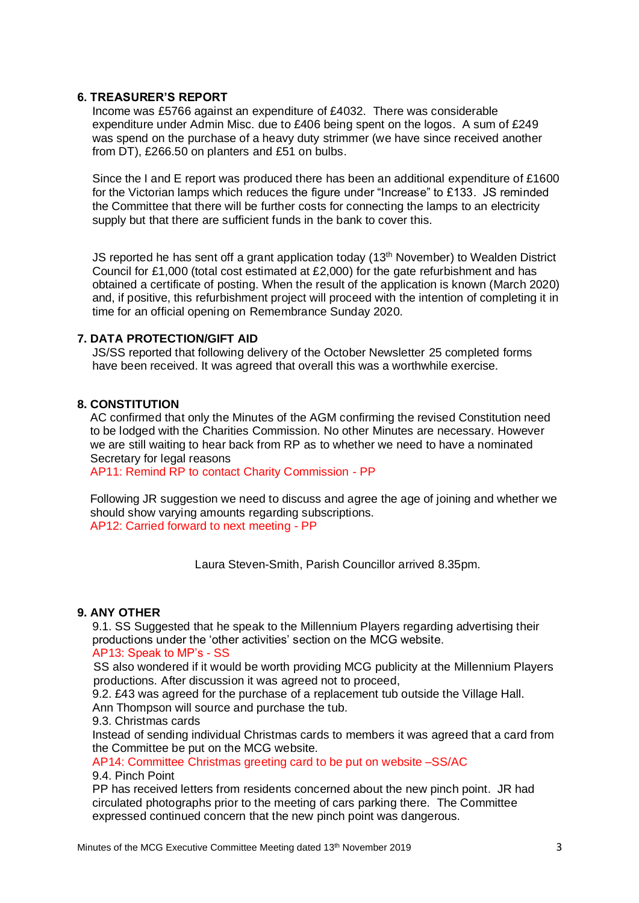#### **6. TREASURER'S REPORT**

Income was £5766 against an expenditure of £4032. There was considerable expenditure under Admin Misc. due to £406 being spent on the logos. A sum of £249 was spend on the purchase of a heavy duty strimmer (we have since received another from DT), £266.50 on planters and £51 on bulbs.

Since the I and E report was produced there has been an additional expenditure of £1600 for the Victorian lamps which reduces the figure under "Increase" to £133. JS reminded the Committee that there will be further costs for connecting the lamps to an electricity supply but that there are sufficient funds in the bank to cover this.

JS reported he has sent off a grant application today (13<sup>th</sup> November) to Wealden District Council for £1,000 (total cost estimated at £2,000) for the gate refurbishment and has obtained a certificate of posting. When the result of the application is known (March 2020) and, if positive, this refurbishment project will proceed with the intention of completing it in time for an official opening on Remembrance Sunday 2020.

#### **7. DATA PROTECTION/GIFT AID**

JS/SS reported that following delivery of the October Newsletter 25 completed forms have been received. It was agreed that overall this was a worthwhile exercise.

#### **8. CONSTITUTION**

 AC confirmed that only the Minutes of the AGM confirming the revised Constitution need to be lodged with the Charities Commission. No other Minutes are necessary. However we are still waiting to hear back from RP as to whether we need to have a nominated Secretary for legal reasons

AP11: Remind RP to contact Charity Commission - PP

 Following JR suggestion we need to discuss and agree the age of joining and whether we should show varying amounts regarding subscriptions. AP12: Carried forward to next meeting - PP

Laura Steven-Smith, Parish Councillor arrived 8.35pm.

#### **9. ANY OTHER**

9.1. SS Suggested that he speak to the Millennium Players regarding advertising their productions under the 'other activities' section on the MCG website. AP13: Speak to MP's - SS

 SS also wondered if it would be worth providing MCG publicity at the Millennium Players productions. After discussion it was agreed not to proceed,

9.2. £43 was agreed for the purchase of a replacement tub outside the Village Hall.

Ann Thompson will source and purchase the tub.

9.3. Christmas cards

Instead of sending individual Christmas cards to members it was agreed that a card from the Committee be put on the MCG website.

AP14: Committee Christmas greeting card to be put on website –SS/AC

#### 9.4. Pinch Point

PP has received letters from residents concerned about the new pinch point. JR had circulated photographs prior to the meeting of cars parking there. The Committee expressed continued concern that the new pinch point was dangerous.